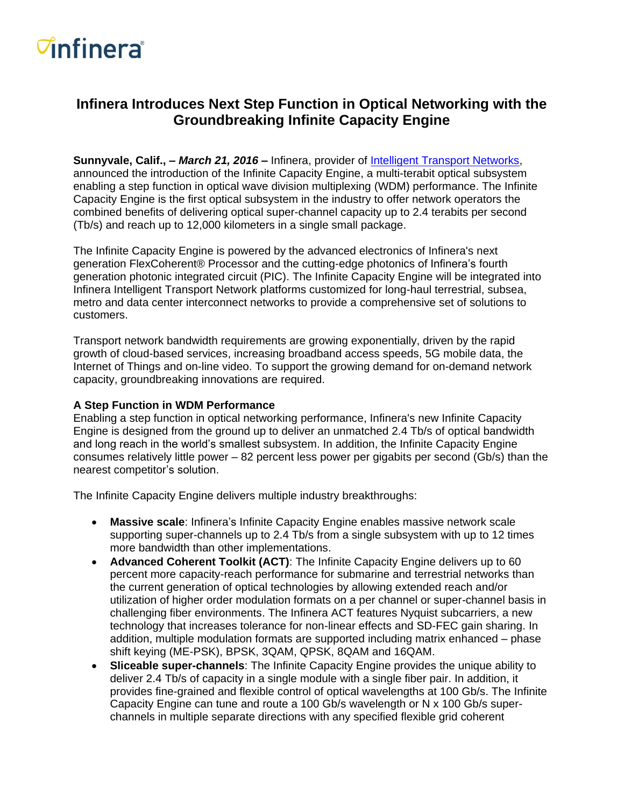# *C***infinera**<sup>®</sup>

## **Infinera Introduces Next Step Function in Optical Networking with the Groundbreaking Infinite Capacity Engine**

**Sunnyvale, Calif., –** *March 21, 2016* **–** Infinera, provider of [Intelligent Transport Networks,](http://www.infinera.com/go/intelligent/index.php) announced the introduction of the Infinite Capacity Engine, a multi-terabit optical subsystem enabling a step function in optical wave division multiplexing (WDM) performance. The Infinite Capacity Engine is the first optical subsystem in the industry to offer network operators the combined benefits of delivering optical super-channel capacity up to 2.4 terabits per second (Tb/s) and reach up to 12,000 kilometers in a single small package.

The Infinite Capacity Engine is powered by the advanced electronics of Infinera's next generation FlexCoherent® Processor and the cutting-edge photonics of Infinera's fourth generation photonic integrated circuit (PIC). The Infinite Capacity Engine will be integrated into Infinera Intelligent Transport Network platforms customized for long-haul terrestrial, subsea, metro and data center interconnect networks to provide a comprehensive set of solutions to customers.

Transport network bandwidth requirements are growing exponentially, driven by the rapid growth of cloud-based services, increasing broadband access speeds, 5G mobile data, the Internet of Things and on-line video. To support the growing demand for on-demand network capacity, groundbreaking innovations are required.

#### **A Step Function in WDM Performance**

Enabling a step function in optical networking performance, Infinera's new Infinite Capacity Engine is designed from the ground up to deliver an unmatched 2.4 Tb/s of optical bandwidth and long reach in the world's smallest subsystem. In addition, the Infinite Capacity Engine consumes relatively little power – 82 percent less power per gigabits per second (Gb/s) than the nearest competitor's solution.

The Infinite Capacity Engine delivers multiple industry breakthroughs:

- **Massive scale**: Infinera's Infinite Capacity Engine enables massive network scale supporting super-channels up to 2.4 Tb/s from a single subsystem with up to 12 times more bandwidth than other implementations.
- **Advanced Coherent Toolkit (ACT)**: The Infinite Capacity Engine delivers up to 60 percent more capacity-reach performance for submarine and terrestrial networks than the current generation of optical technologies by allowing extended reach and/or utilization of higher order modulation formats on a per channel or super-channel basis in challenging fiber environments. The Infinera ACT features Nyquist subcarriers, a new technology that increases tolerance for non-linear effects and SD-FEC gain sharing. In addition, multiple modulation formats are supported including matrix enhanced – phase shift keying (ME-PSK), BPSK, 3QAM, QPSK, 8QAM and 16QAM.
- **Sliceable super-channels**: The Infinite Capacity Engine provides the unique ability to deliver 2.4 Tb/s of capacity in a single module with a single fiber pair. In addition, it provides fine-grained and flexible control of optical wavelengths at 100 Gb/s. The Infinite Capacity Engine can tune and route a 100 Gb/s wavelength or N x 100 Gb/s superchannels in multiple separate directions with any specified flexible grid coherent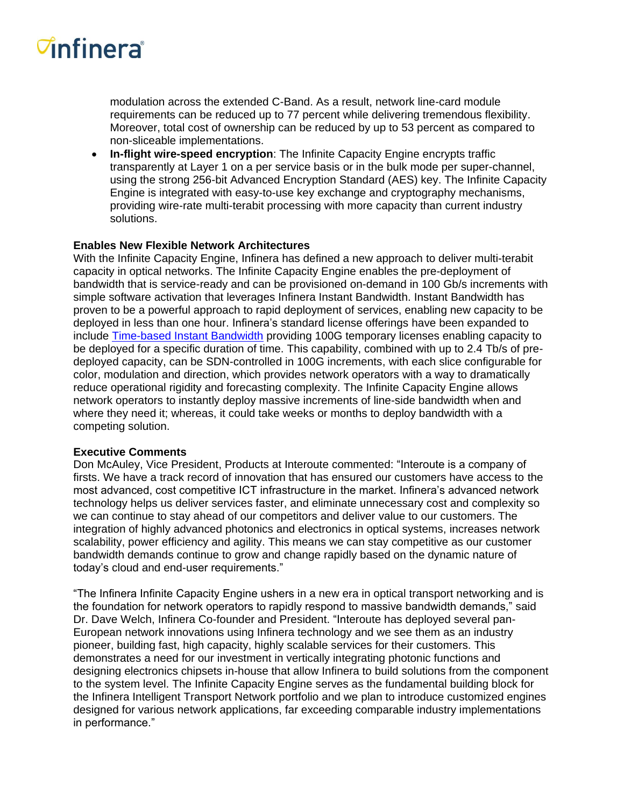# *C***infinera**<sup>®</sup>

modulation across the extended C-Band. As a result, network line-card module requirements can be reduced up to 77 percent while delivering tremendous flexibility. Moreover, total cost of ownership can be reduced by up to 53 percent as compared to non-sliceable implementations.

 **In-flight wire-speed encryption**: The Infinite Capacity Engine encrypts traffic transparently at Layer 1 on a per service basis or in the bulk mode per super-channel, using the strong 256-bit Advanced Encryption Standard (AES) key. The Infinite Capacity Engine is integrated with easy-to-use key exchange and cryptography mechanisms, providing wire-rate multi-terabit processing with more capacity than current industry solutions.

### **Enables New Flexible Network Architectures**

With the Infinite Capacity Engine, Infinera has defined a new approach to deliver multi-terabit capacity in optical networks. The Infinite Capacity Engine enables the pre-deployment of bandwidth that is service-ready and can be provisioned on-demand in 100 Gb/s increments with simple software activation that leverages Infinera Instant Bandwidth. Instant Bandwidth has proven to be a powerful approach to rapid deployment of services, enabling new capacity to be deployed in less than one hour. Infinera's standard license offerings have been expanded to include [Time-based Instant Bandwidth](https://www.infinera.com/technology/instant-bandwidth/) providing 100G temporary licenses enabling capacity to be deployed for a specific duration of time. This capability, combined with up to 2.4 Tb/s of predeployed capacity, can be SDN-controlled in 100G increments, with each slice configurable for color, modulation and direction, which provides network operators with a way to dramatically reduce operational rigidity and forecasting complexity. The Infinite Capacity Engine allows network operators to instantly deploy massive increments of line-side bandwidth when and where they need it; whereas, it could take weeks or months to deploy bandwidth with a competing solution.

### **Executive Comments**

Don McAuley, Vice President, Products at Interoute commented: "Interoute is a company of firsts. We have a track record of innovation that has ensured our customers have access to the most advanced, cost competitive ICT infrastructure in the market. Infinera's advanced network technology helps us deliver services faster, and eliminate unnecessary cost and complexity so we can continue to stay ahead of our competitors and deliver value to our customers. The integration of highly advanced photonics and electronics in optical systems, increases network scalability, power efficiency and agility. This means we can stay competitive as our customer bandwidth demands continue to grow and change rapidly based on the dynamic nature of today's cloud and end-user requirements."

"The Infinera Infinite Capacity Engine ushers in a new era in optical transport networking and is the foundation for network operators to rapidly respond to massive bandwidth demands," said Dr. Dave Welch, Infinera Co-founder and President. "Interoute has deployed several pan-European network innovations using Infinera technology and we see them as an industry pioneer, building fast, high capacity, highly scalable services for their customers. This demonstrates a need for our investment in vertically integrating photonic functions and designing electronics chipsets in-house that allow Infinera to build solutions from the component to the system level. The Infinite Capacity Engine serves as the fundamental building block for the Infinera Intelligent Transport Network portfolio and we plan to introduce customized engines designed for various network applications, far exceeding comparable industry implementations in performance."